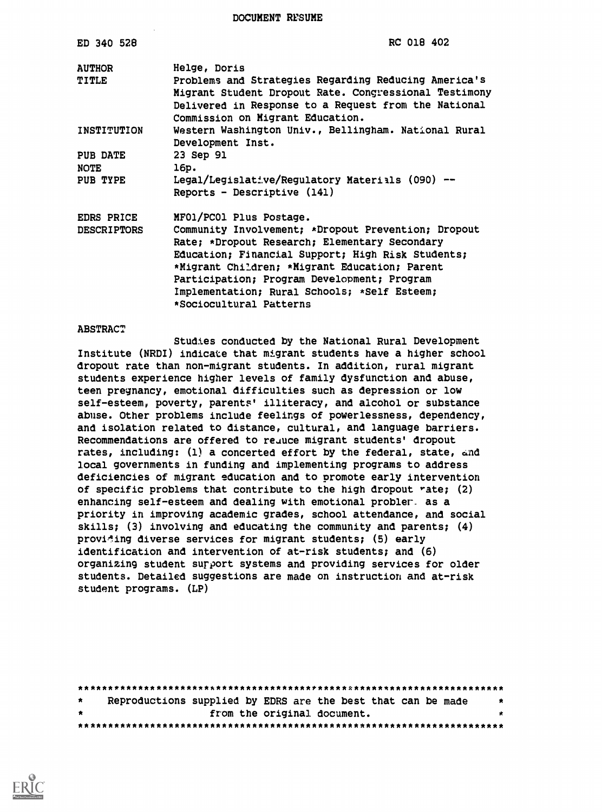DOCUMENT RESUME

| ED 340 528         | RC 018 402                                                                               |
|--------------------|------------------------------------------------------------------------------------------|
| <b>AUTHOR</b>      | Helge, Doris                                                                             |
| TITLE              | Problems and Strategies Regarding Reducing America's                                     |
|                    | Migrant Student Dropout Rate. Congressional Testimony                                    |
|                    | Delivered in Response to a Request from the National<br>Commission on Migrant Education. |
| INSTITUTION        | Western Washington Univ., Bellingham. National Rural                                     |
|                    | Development Inst.                                                                        |
| <b>PUB DATE</b>    | 23 Sep 91                                                                                |
| <b>NOTE</b>        | 16p.                                                                                     |
| PUB TYPE           | Legal/Legislative/Regulatory Materials (090) --                                          |
|                    | Reports - Descriptive $(141)$                                                            |
| <b>EDRS PRICE</b>  | MF01/PC01 Plus Postage.                                                                  |
| <b>DESCRIPTORS</b> | Community Involvement; *Dropout Prevention; Dropout                                      |
|                    | Rate; *Dropout Research; Elementary Secondary                                            |
|                    | Education; Financial Support; High Risk Students;                                        |
|                    | *Migrant Children; *Migrant Education; Parent                                            |
|                    | Participation; Program Development; Program                                              |
|                    | Implementation; Rural Schools; *Self Esteem;                                             |
|                    | *Sociocultural Patterns                                                                  |

#### ABSTRACT

Studies conducted by the National Rural Development Institute (NRDI) indicate that migrant students have a higher school dropout rate than non-migrant students. In addition, rural migrant students experience higher levels of family dysfunction and abuse, teen pregnancy, emotional difficulties such as depression or low self-esteem, poverty, parents' illiteracy, and alcohol or substance abuse. Other problems include feelings of powerlessness, dependency, and isolation related to distance, cultural, and language barriers. Recommendations are offered to reauce migrant students' dropout rates, including:  $(1)$  a concerted effort by the federal, state, and local governments in funding and implementing programs to address deficiencies of migrant education and to promote early intervention of specific problems that contribute to the high dropout rate; (2) enhancing self-esteem and dealing with emotional probler. as a priority in improving academic grades, school attendance, and social skills; (3) involving and educating the community and parents; (4) providing diverse services for migrant students; (5) early identification and intervention of at-risk students; and (6) organizing student surport systems and providing services for older students. Detailed suggestions are made on instruction and at-risk student programs. (LP)

| *  | Reproductions supplied by EDRS are the best that can be made<br>-8 |
|----|--------------------------------------------------------------------|
| *. | from the original document.<br>*                                   |
|    |                                                                    |

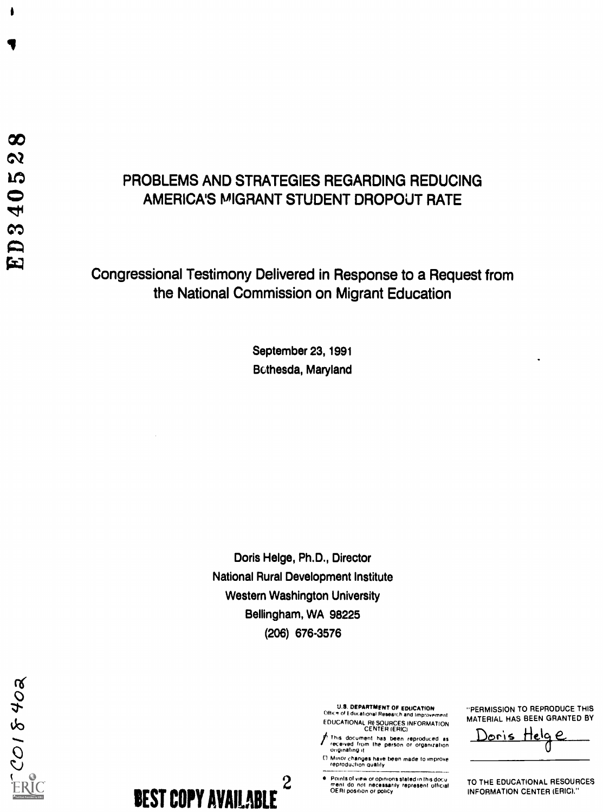1

# PROBLEMS AND STRATEGIES REGARDING REDUCING AMERICA'S MIGRANT STUDENT DROPOUT RATE

# Congressional Testimony Delivered in Response to a Request from the National Commission on Migrant Education

September 23, 1991 Bethesda, Maryland

Doris Helge, Ph.D., Director National Rural Development Institute Western Washington University Bellingham, WA 98225 (206) 676-3576

U.S. DEPARTMENT OF EDUCATION Office of Educational Research and Improvement EDUCATIONAL RESOURCES INFORMATION CENTER (ERIC)

This document haS been reproduLed as received from the person or organization originating it

C) Minor changes have been made to improve reprodujion quality

2 Points of view Of opinions staled in this docu meni do not necessarily represent official OERI position or policy

"PERMISSION TO REPRODUCE THIS MATERIAL HAS BEEN GRANTED BY

<u>)oris Helg</u><br>0  $\epsilon$ 

TO THE EDUCATIONAL RESOURCES INFORMATION CENTER (ERIC)."

**BEST COPY AVAILABLE**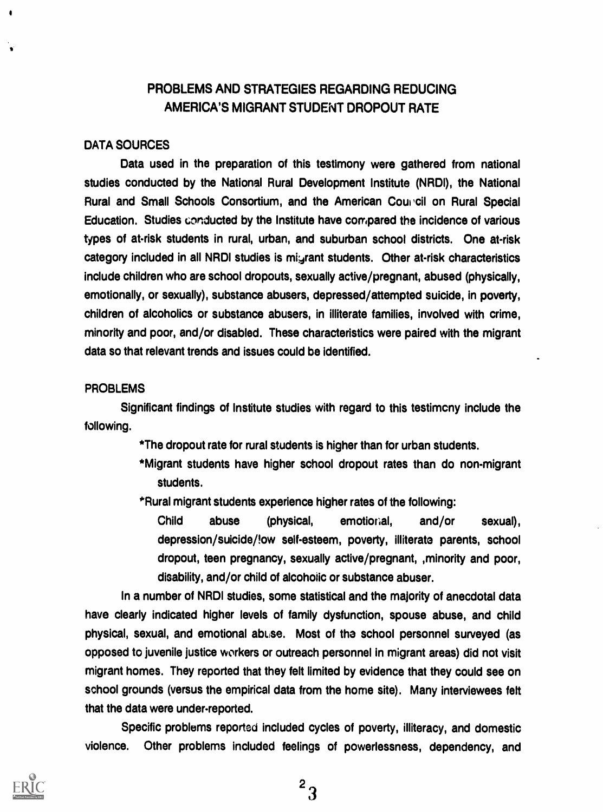## PROBLEMS AND STRATEGIES REGARDING REDUCING AMERICA'S MIGRANT STUDENT DROPOUT RATE

#### DATA SOURCES

Data used in the preparation of this testimony were gathered from national studies conducted by the National Rural Development Institute (NRDI), the National Rural and Small Schools Consortium, and the American Council on Rural Special Education. Studies conducted by the Institute have compared the incidence of various types of at-risk students in rural, urban, and suburban school districts. One at-risk category included in all NRDI studies is migrant students. Other at-risk characteristics include children who are school dropouts, sexually active/pregnant, abused (physically, emotionally, or sexually), substance abusers, depressed/attempted suicide, in poverty, children of alcoholics or substance abusers, in illiterate families, involved with crime, minority and poor, and/or disabled. These characteristics were paired with the migrant data so that relevant trends and issues could be identified.

#### PROBLEMS

Significant findings of Institute studies with regard to this testimcny include the following.

\*The dropout rate for rural students is higher than for urban students.

- \*Migrant students have higher school dropout rates than do non-migrant students.
- \*Rural migrant students experience higher rates of the following:

Child abuse (physical, emotioral, and/or sexual), depression/suicide/low self-esteem, poverty, illiterate parents, school dropout, teen pregnancy, sexually active/pregnant, minority and poor, disability, and/or child of alcoholic or substance abuser.

In a number of NRDI studies, some statistical and the majority of anecdotal data have clearly indicated higher levels of family dysfunction, spouse abuse, and child physical, sexual, and emotional abuse. Most of the school personnel surveyed (as opposed to juvenile justice vvorkers or outreach personnel in migrant areas) did not visit migrant homes. They reported that they felt limited by evidence that they could see on school grounds (versus the empirical data from the home site). Many interviewees felt that the data were under-reported.

Specific problems reported included cycles of poverty, illiteracy, and domestic violence. Other problems included feelings of powerlessness, dependency, and

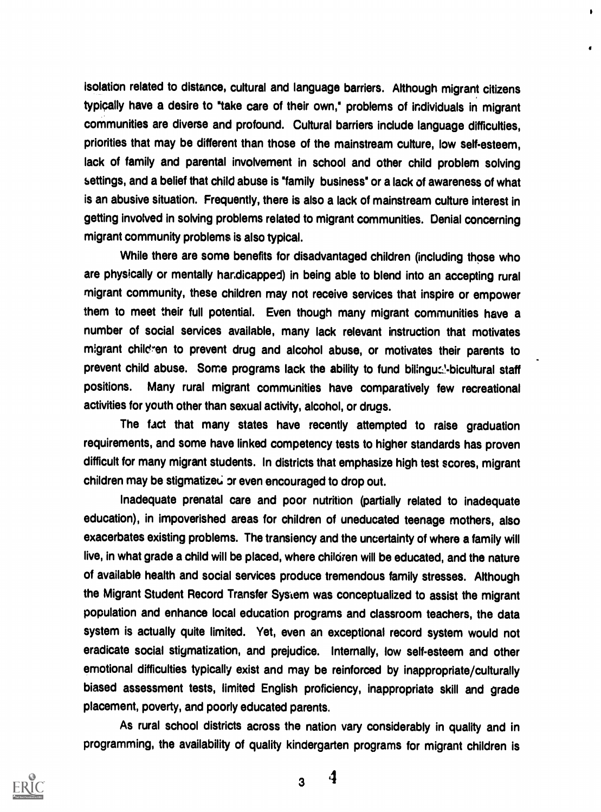isolation related to distance, cultural and language barriers. Although migrant citizens typically have a desire to "take care of their own," problems of individuals in migrant communities are diverse and profound. Cultural barriers include language difficulties, priorities that may be different than those of the mainstream culture, low self-esteem, lack of family and parental involvement in school and other child problem solving settings, and a belief that child abuse is "family business" or a lack of awareness of what is an abusive situation. Frequently, there is also a lack of mainstream culture interest in getting involved in solving problems related to migrant communities. Denial concerning migrant community problems is also typical.

 $\bullet$ 

While there are some benefits for disadvantaged children (including those who are physically or mentally handicapped) in being able to blend into an accepting rural migrant community, these children may not receive services that inspire or empower them to meet their full potential. Even though many migrant communities have a number of social services available, many lack relevant instruction that motivates migrant chileren to prevent drug and alcohol abuse, or motivates their parents to prevent child abuse. Some programs lack the ability to fund bilingual-bicultural staff positions. Many rural migrant communities have comparatively few recreational activities for youth other than sexual activity, alcohol, or drugs.

The fact that many states have recently attempted to raise graduation requirements, and some have linked competency tests to higher standards has proven difficult for many migrant students. In districts that emphasize high test scores, migrant children may be stigmatized or even encouraged to drop out.

Inadequate prenatal care and poor nutrition (partially related to inadequate education), in impoverished areas for children of uneducated teenage mothers, also exacerbates existing problems. The transiency and the uncertainty of where a family will live, in what grade a child will be placed, where children will be educated, and the nature of available health and social services produce tremendous family stresses. Although the Migrant Student Record Transfer System was conceptualized to assist the migrant population and enhance local education programs and classroom teachers, the data system is actually quite limited. Yet, even an exceptional record system would not eradicate social stigmatization, and prejudice. Internally, low self-esteem and other emotional difficulties typically exist and may be reinforced by inappropriate/culturally biased assessment tests, limited English proficiency, inappropriate skill and grade placement, poverty, and poorly educated parents.

As rural school districts across the nation vary considerably in quality and in programming, the availability of quality kindergarten programs for migrant children is

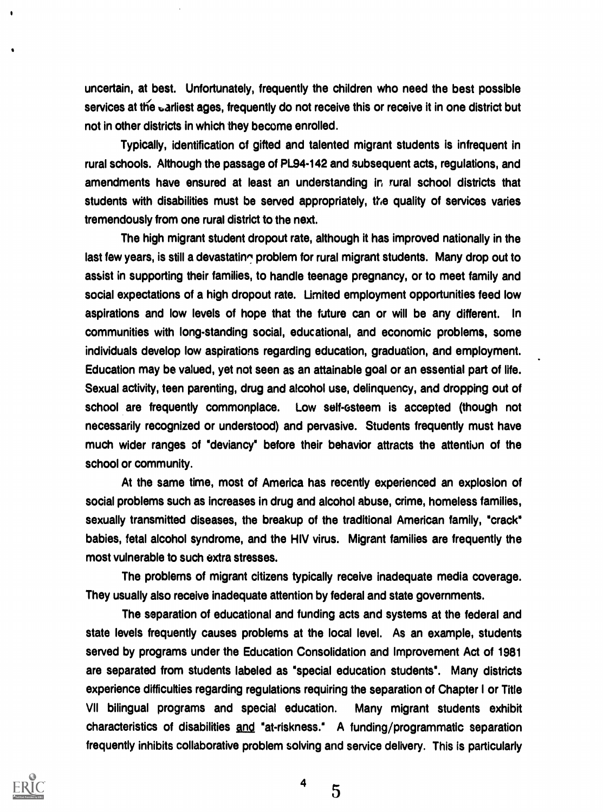uncertain, at best. Unfortunately, frequently the children who need the best possible services at the uarliest ages, frequently do not receive this or receive it in one district but not in other districts in which they become enrolled.

Typically, identification of gifted and talented migrant students is infrequent in rural schools. Although the passage of PL94-142 and subsequent acts, regulations, and amendments have ensured at least an understanding in rural school districts that students with disabilities must be served appropriately, the quality of services varies tremendously from one rural district to the next.

The high migrant student dropout rate, although it has improved nationally in the last few years, is still a devastating problem for rural migrant students. Many drop out to assist in supporting their families, to handle teenage pregnancy, or to meet family and social expectations of a high dropout rate. Limited employment opportunities feed low aspirations and low levels of hope that the future can or will be any different. In communities with long-standing social, educational, and economic problems, some individuals develop low aspirations regarding education, graduation, and employment. Education may be valued, yet not seen as an attainable goal or an essential part of life. Sexual activity, teen parenting, drug and alcohol use, delinquency, and dropping out of school are frequently commonplace. Low self-esteem is accepted (though not necessarily recognized or understood) and pervasive. Students frequently must have much wider ranges of "deviancy" before their behavior attracts the attentiun of the school or community.

At the same time, most of America has recently experienced an explosion of social problems such as increases in drug and alcohol abuse, crime, homeless families, sexually transmitted diseases, the breakup of the traditional American family, "crack" babies, fetal alcohol syndrome, and the HIV virus. Migrant families are frequently the most vulnerable to such extra stresses.

The problems of migrant citizens typically receive inadequate media coverage. They usually also receive inadequate attention by federal and state governments.

The separation of educational and funding acts and systems at the federal and state levels frequently causes problems at the local level. As an example, students served by programs under the Education Consolidation and Improvement Act of 1981 are separated from students labeled as "special education students". Many districts experience difficulties regarding regulations requiring the separation of Chapter I or Title VII bilingual programs and special education. Many migrant students exhibit characteristics of disabilities  $and$  "at-riskness." A funding/programmatic separation frequently inhibits collaborative problem solving and service delivery. This is particularly



4

 $5\overline{)}$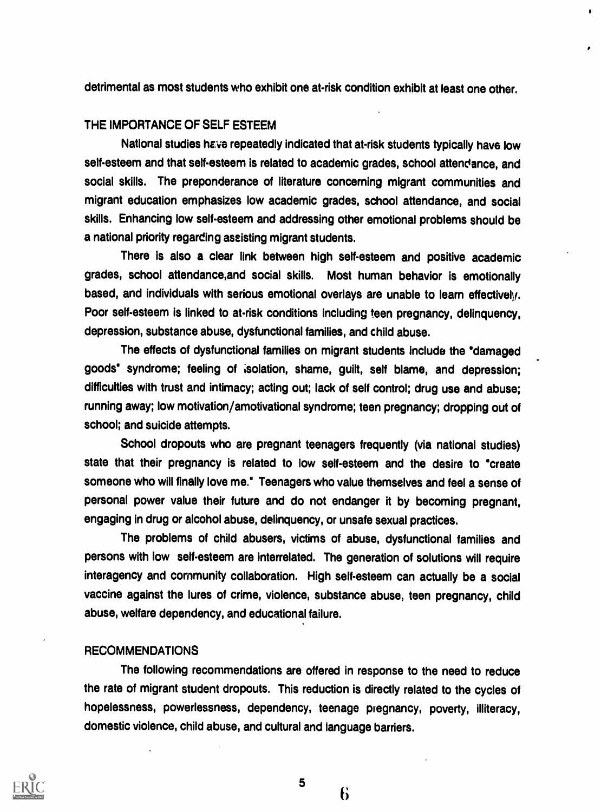detrimental as most students who exhibit one at-risk condition exhibit at least one other.

 $\bullet$ 

### THE IMPORTANCE OF SELF ESTEEM

National studies have repeatedly indicated that at-risk students typically have low self-esteem and that self-esteem is related to academic grades, school attendance, and social skills. The preponderance of literature concerning migrant communities and migrant education emphasizes low academic grades, school attendance, and social skills. Enhancing low self-esteem and addressing other emotional problems should be a national priority regarding assisting migrant students.

There is also a clear link between high self-esteem and positive academic grades, school attendance,and social skills. Most human behavior is emotionally based, and individuals with serious emotional overlays are unable to learn effectivelv. Poor self-esteem is linked to at-risk conditions including teen pregnancy, delinquency, depression, substance abuse, dysfunctional families, and child abuse.

The effects of dysfunctional families on migrant students include the 'damaged goods" syndrome; feeling of ;solation, shame, guilt, self blame, and depression; difficulties with trust and intimacy; acting out; lack of self control; drug use and abuse; running away; low motivation/amotivational syndrome; teen pregnancy; dropping out of school; and suicide attempts.

School dropouts who are pregnant teenagers frequently (via national studies) state that their pregnancy is related to low self-esteem and the desire to "create someone who will finally love me." Teenagers who value themselves and feel a sense of personal power value their future and do not endanger it by becoming pregnant, engaging in drug or alcohol abuse, delinquency, or unsafe sexual practices.

The problems of child abusers, victims of abuse, dysfunctional families and persons with low self-esteem are interrelated. The generation of solutions will require interagency and community collaboration. High self-esteem can actually be a social vaccine against the lures of crime, violence, substance abuse, teen pregnancy, child abuse, welfare dependency, and educational failure.

#### **RECOMMENDATIONS**

The following recommendations are offered in response to the need to reduce the rate of migrant student dropouts. This reduction is directly related to the cycles of hopelessness, powerlessness, dependency, teenage pregnancy, poverty, illiteracy, domestic violence, child abuse, and cultural and language barriers.



5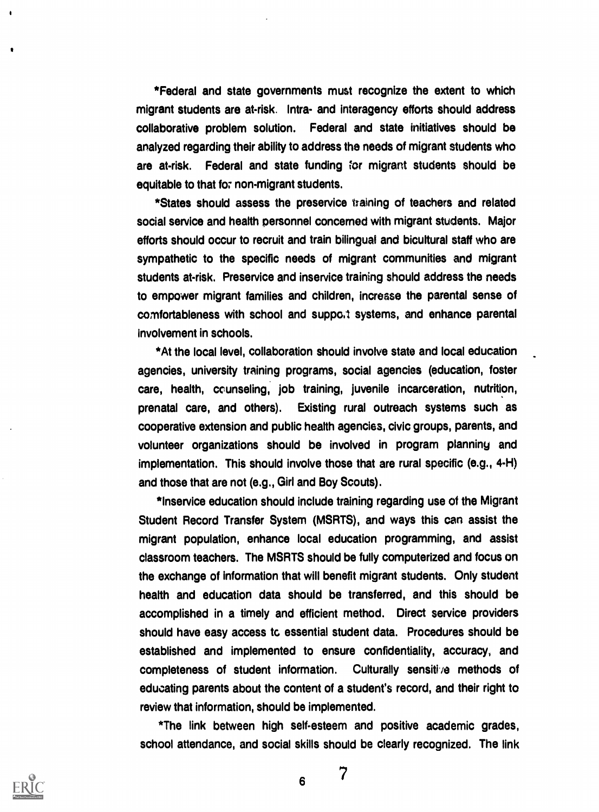\*Federal and state governments must recognize the extent to which migrant students are at-risk. Intra- and interagency efforts should address collaborative problem solution. Federal and state initiatives should be analyzed regarding their ability to address the needs of migrant students who are at-risk. Federal and state funding ;or migrant students should be equitable to that fo; non-migrant students.

\*States should assess the preservice taining of teachers and related social service and health personnel concerned with migrant students. Major efforts should occur to recruit and train bilingual and bicultural staff who are sympathetic to the specific needs of migrant communities and migrant students at-risk. Preservice and inservice training should address the needs to empower migrant families and children, increase the parental sense of comfortableness with school and suppo.1 systems, and enhance parental involvement in schools.

\*At the local level, collaboration should involve state and local education agencies, university training programs, social agencies (education, foster care, health, counseling, job training, juvenile incarceration, nutrition, prenatal care, and others). Existing rural outreach systems such as cooperative extension and public health agencies, civic groups, parents, and volunteer organizations should be involved in program planning and implementation. This should involve those that are rural specific (e.g., 4-H) and those that are not (e.g., Girl and Boy Scouts).

\*lnservice education should include training regarding use of the Migrant Student Record Transfer System (MSRTS), and ways this can assist the migrant population, enhance local education programming, and assist classroom teachers. The MSRTS should be fully computerized and focus on the exchange of information that will benefit migrant students. Only student health and education data should be transferred, and this should be accomplished in a timely and efficient method. Direct service providers should have easy access to essential student data. Procedures should be established and implemented to ensure confidentiality, accuracy, and completeness of student information. Culturally sensitive methods of educating parents about the content of a student's record, and their right to review that information, should be implemented.

\*The link between high self-esteem and positive academic grades, school attendance, and social skills should be clearly recognized. The link

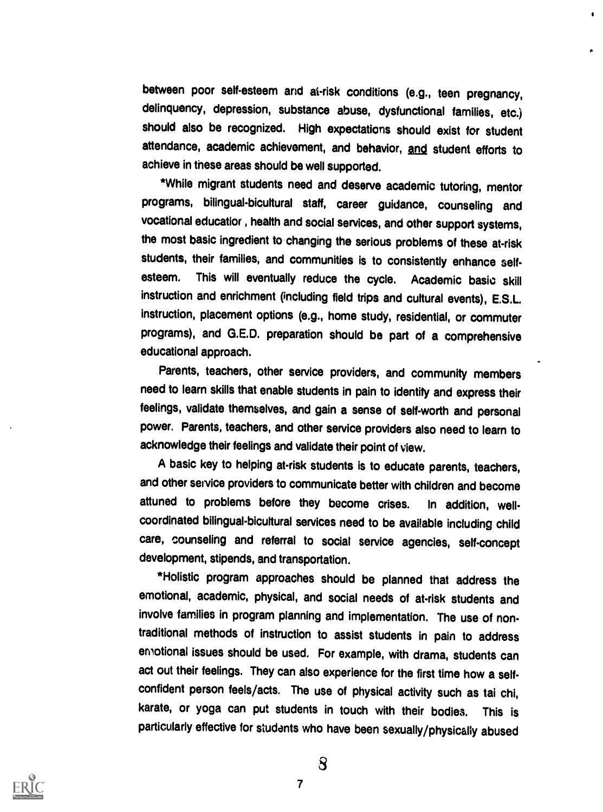between poor self-esteem and at-risk conditions (e.g., teen pregnancy, delinquency, depression, substance abuse, dysfunctional families, etc.) should also be recognized. High expectations should exist for student attendance, academic achievement, and behavior, and student efforts to achieve in these areas should be well supported.

\*While migrant students need and deserve academic tutoring, mentor programs, bilingual-bicultural staff, career guidance, counseling and vocational educatior , health and social services, and other support systems, the most basic ingredient to changing the serious problems of these at-risk students, their families, and communities is to consistently enhance selfesteem. This will eventually reduce the cycle. Academic basic skill instruction and enrichment (including field trips and cultural events), E.S.L. instruction, placement options (e.g., home study, residential, or commuter programs), and G.E.D. preparation should be part of a comprehensive educational approach.

Parents, teachers, other service providers, and community members need to learn skills that enable students in pain to identify and express their feelings, validate themselves, and gain a sense of self-worth and personal power. Parents, teachers, and other service providers also need to learn to acknowledge their feelings and validate their point of view.

A basic key to helping at-risk students is to educate parents, teachers, and other service providers to communicate better with children and become attuned to problems before they become crises. In addition, wellcoordinated bilingual-bicultural services need to be available including child care, counseling and referral to social service agencies, self-concept development, stipends, and transportation.

\*Holistic program approaches should be planned that address the emotional, academic, physical, and social needs of at-risk students and involve families in program planning and implementation. The use of nontraditional methods of instruction to assist students in pain to address emotional issues should be used. For example, with drama, students can act out their feelings. They can also experience for the first time how a selfconfident person feels/acts. The use of physical activity such as tai chi, karate, or yoga can put students in touch with their bodies. This is particularly effective for students who have been sexually/physically abused

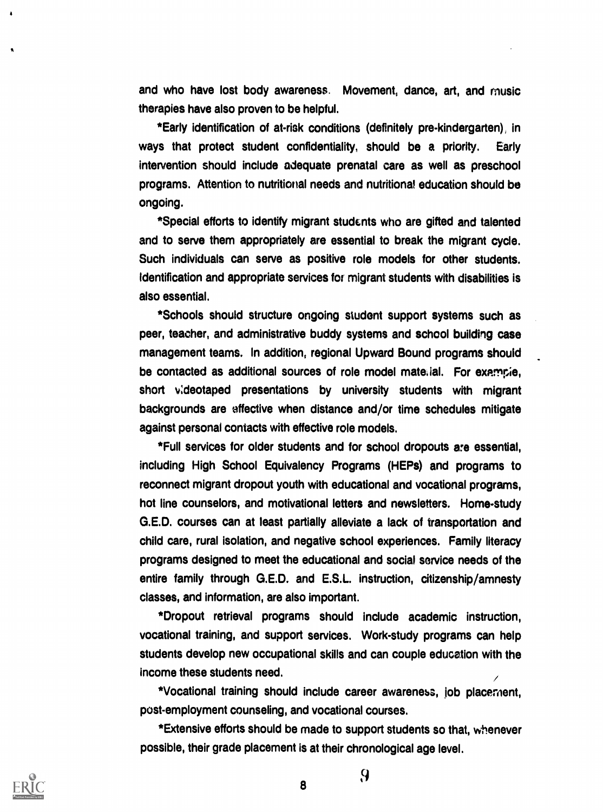and who have lost body awareness. Movement, dance, art, and music therapies have also proven to be helpful.

\*Early identification of at-risk conditions (definitely pre-kindergarten), in ways that protect student confidentiality, should be a priority. Early intervention should include adequate prenatal care as well as preschool programs. Attention to nutritional needs and nutritional education should be ongoing.

\*Special efforts to identify migrant students who are gifted and talented and to serve them appropriately are essential to break the migrant cycle. Such individuals can serve as positive role models for other students. Identification and appropriate services for migrant students with disabilities is also essential.

\*Schools should structure ongoing student support systems such as peer, teacher, and administrative buddy systems and school building case management teams. In addition, regional Upward Bound programs should be contacted as additional sources of role model material. For example, short v:deotaped presentations by university students with migrant backgrounds are effective when distance and/or time schedules mitigate against personal contacts with effective role models.

\*Full services for older students and for school dropouts are essential, including High School Equivalency Programs (HEPs) and programs to reconnect migrant dropout youth with educational and vocational programs, hot line counselors, and motivational letters and newsletters. Home-study G.E.D. courses can at least partially alleviate a lack of transportation and child care, rural isolation, and negative school experiences. Family literacy programs designed to meet the educational and social service needs of the entire family through G.E.D. and E.S.L. instruction, citizenship/amnesty classes, and information, are also important.

\*Dropout retrieval programs should include academic instruction, vocational training, and support services. Work-study programs can help students develop new occupational skills and can couple education with the income these students need.

\*Vocational training should include career awareness, Job placernent, post-employment counseling, and vocational courses.

\*Extensive efforts should be made to support students so that, whenever possible, their grade placement is at their chronological age level.

9

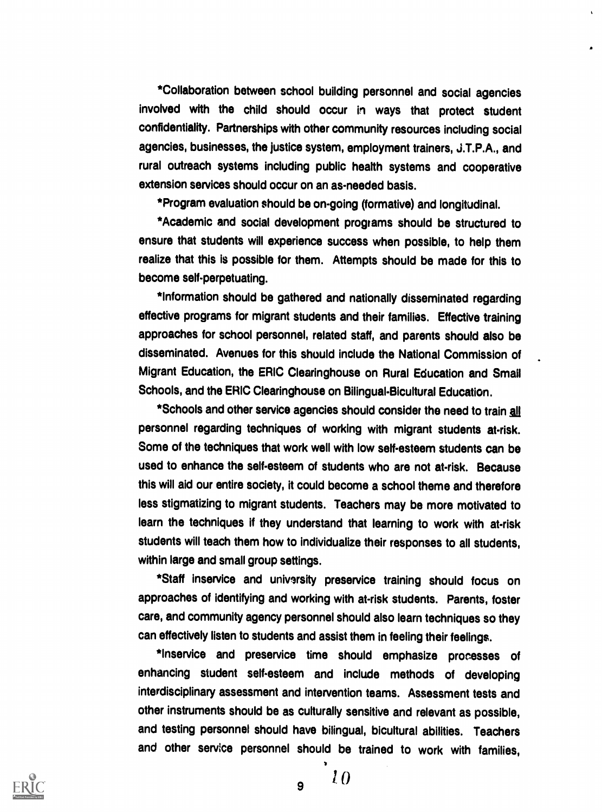\*Collaboration between school building personnel and social agencies involved with the child should occur in ways that protect student confidentiality. Partnerships with other community resources including social agencies, businesses, the justice system, employment trainers, J.T.P.A., and rural outreach systems including public health systems and cooperative extension services should occur on an as-needed basis.

\*Program evaluation should be on-going (formative) and longitudinal.

\*Academic and social development programs should be structured to ensure that students will experience success when possible, to help them realize that this is possible for them. Attempts should be made for this to become self-perpetuating.

\*Information should be gathered and nationally disseminated regarding effective programs for migrant students and their families. Effective training approaches for school personnel, related staff, and parents should also be disseminated. Avenues for this should include the National Commission of Migrant Education, the ERIC Clearinghouse on Rural Education and Small Schools, and the ERIC Clearinghouse on Bilingual-Bicultural Education.

\*Schools and other service agencies should consider the need to train all personnel regarding techniques of working with migrant students at-risk. Some of the techniques that work well with low self-esteem students can be used to enhance the self-esteem of students who are not at-risk. Because this will aid our entire society, it could become a school theme and therefore less stigmatizing to migrant students. Teachers may be more motivated to learn the techniques if they understand that learning to work with at-risk students will teach them how to individualize their responses to all students, within large and small group settings.

\*Staff inservice and university preservice training should focus on approaches of identifying and working with at-risk students. Parents, foster care, and community agency personnel should also learn techniques so they can effectively listen to students and assist them in feeling their feelings.

\*Inservice and preservice time should emphasize processes of enhancing student self-esteem and include methods of developing interdisciplinary assessment and intervention teams. Assessment tests and other instruments should be as culturally sensitive and relevant as possible, and testing personnel should have bilingual, bicultural abilities. Teachers and other service personnel should be trained to work with families,



 $\sqrt{9}$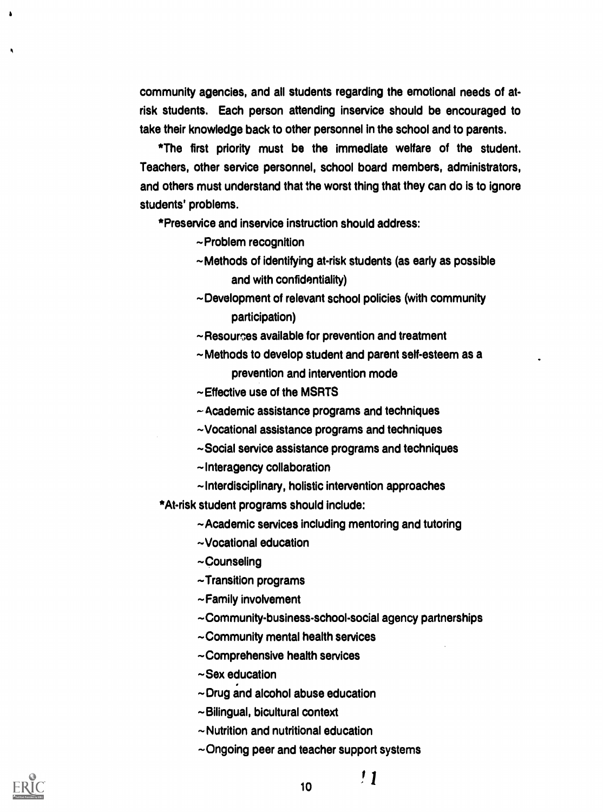community agencies, and all students regarding the emotional needs of atrisk students. Each person attending inservice should be encouraged to take their knowledge back to other personnel in the school and to parents.

\*The first priority must be the immediate welfare of the student. Teachers, other service personnel, school board members, administrators, and others must understand that the worst thing that they can do is to ignore students' problems.

\*Preservice and inservice instruction should address:

- $\sim$  Problem recognition
- Methods of identifying at-risk students (as early as possible and with confidentiality)
- ~Development of relevant school policies (with community participation)
- $\sim$  Resourges available for prevention and treatment
- Methods to develop student and parent self-esteem as a prevention and intervention mode
- Effective use of the MSRTS
- Academic assistance programs and techniques
- Vocational assistance programs and techniques
- ~Social service assistance programs and techniques
- $\sim$ Interagency collaboration
- $\sim$  Interdisciplinary, holistic intervention approaches
- \*At-risk student programs should include:
	- ~Academic services including mentoring and tutoring
	- Vocational education
	- ~Counseling
	- $\sim$ Transition programs
	- $\sim$ Family involvement
	- Community-business-school-social agency partnerships
	- $\sim$  Community mental health services
	- Comprehensive health services
	- $\sim$ Sex education
	- $\sim$  Drug and alcohol abuse education
	- ~Bilingual, bicultural context
	- $\sim$  Nutrition and nutritional education
	- $\sim$ Ongoing peer and teacher support systems



 $^{\prime}1$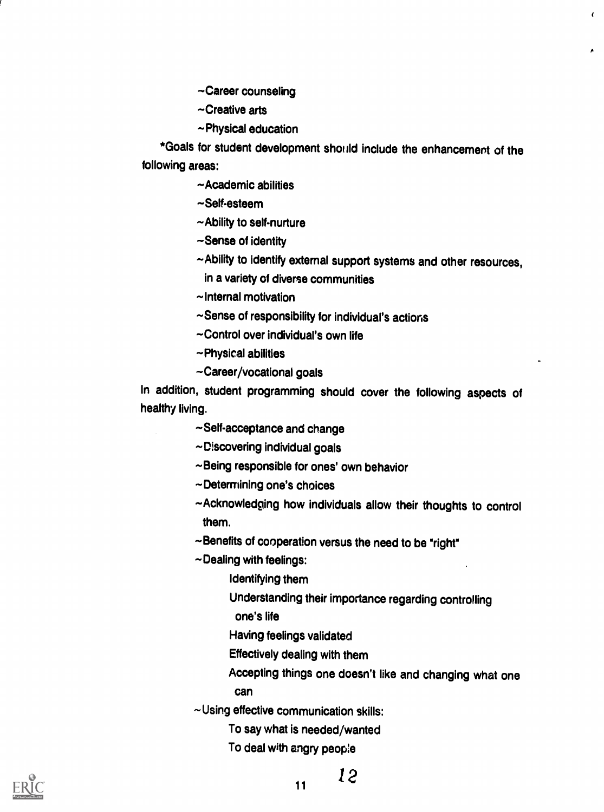Career counseling

Creative arts

Physical education

\*Goals for student development should include the enhancement of the following areas:

~Academic abilities

~Self-esteem

~Ability to self-nurture

 $\sim$ Sense of identity

Ability to identify external support systems and other resources,

 $\epsilon$ 

in a variety of diverse communities

 $\sim$ Internal motivation

~Sense of responsibility for individual's actions

Control over individual's own life

~Physical abilities

Career/vocational goals

In addition, student programming should cover the following aspects of healthy living.

~Self-acceptance and change

 $\sim$  Discovering individual goals

~Being responsible for ones' own behavior

Determining one's choices

Acknowledging how individuals allow their thoughts to control them.

~Benefits of cooperation versus the need to be "right"

 $\sim$ Dealing with feelings:

Identifying them

Understanding their importance regarding controlling

one's life

Having feelings validated

Effectively dealing with them

Accepting things one doesn't like and changing what one can

 $\sim$ Using effective communication skills:

To say what is needed/wanted

To deal with angry peop:e



11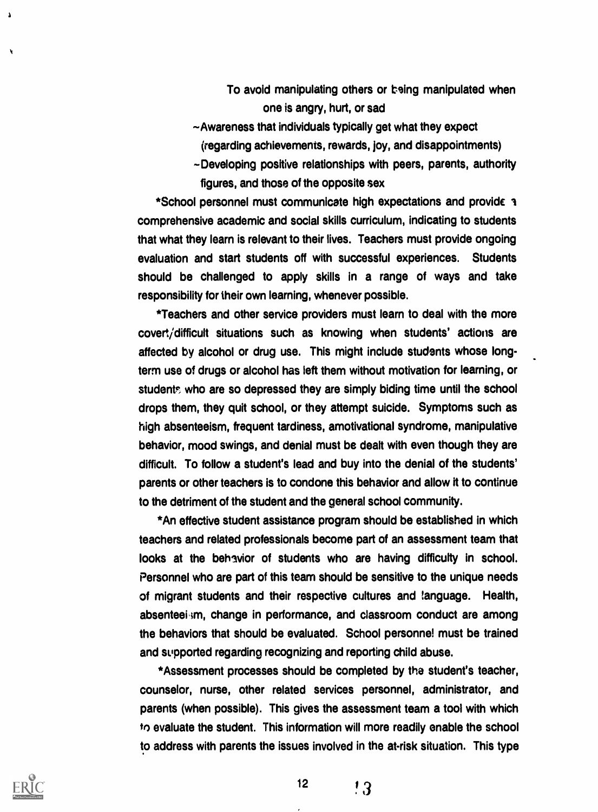- To avoid manipulating others or being manipulated when one is angry, hurt, or sad
- $\sim$  Awareness that individuals typically get what they expect (regarding achievements, rewards, joy, and disappointments)
- -Developing positive relationships with peers, parents, authority figures, and those of the opposite sex

\*School personnel must communicate high expectations and provide comprehensive academic and social skills curriculum, indicating to students that what they learn is relevant to their lives. Teachers must provide ongoing evaluation and start students off with successful experiences. Students should be challenged to apply skills in a range of ways and take responsibility for their own learning, whenever possible.

\*Teachers and other service providers must learn to deal with the more covert/difficult situations such as knowing when students' actions are affected by alcohol or drug use. This might include students whose longterm use of drugs or alcohol has left them without motivation for learning, or students who are so depressed they are simply biding time until the school drops them, they quit school, or they attempt suicide. Symptoms such as high absenteeism, frequent tardiness, amotivational syndrome, manipulative behavior, mood swings, and denial must be dealt with even though they are difficult. To follow a student's lead and buy into the denial of the students' parents or other teachers is to condone this behavior and allow it to continue to the detriment of the student and the general school community.

\*An effective student assistance program should be established in which teachers and related professionals become part of an assessment team that looks at the behavior of students who are having difficulty in school. Personnel who are part of this team should be sensitive to the unique needs of migrant students and their respective cultures and language. Health, absenteeism, change in performance, and classroom conduct are among the behaviors that should be evaluated. School personnel must be trained and supported regarding recognizing and reporting child abuse.

\*Assessment processes should be completed by the student's teacher, counselor, nurse, other related services personnel, administrator, and parents (when possible). This gives the assessment team a tool with which to evaluate the student. This information will more readily enable the school to address with parents the issues involved in the at-risk situation. This type



Ń

! 3

 $12<sup>2</sup>$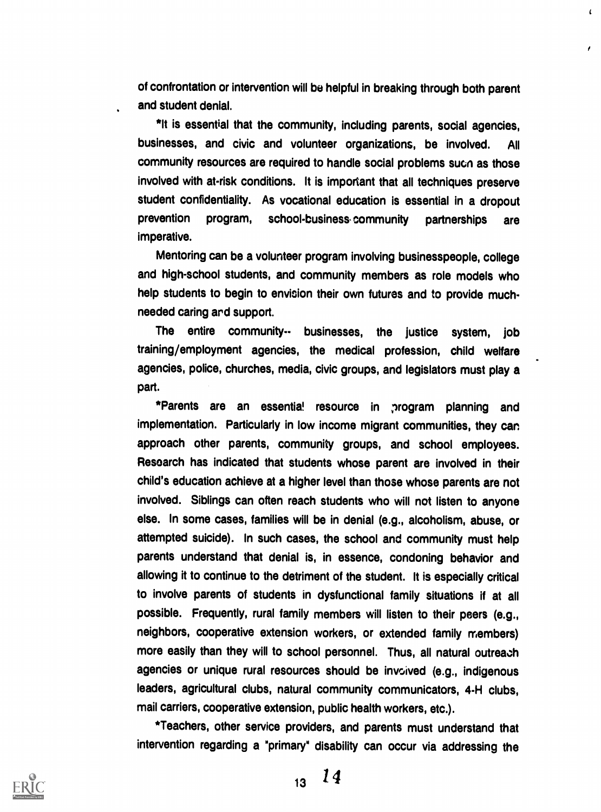of confrontation or intervention will be helpful in breaking through both parent and student denial.

 $\mathbf{r}$ 

\*It is essential that the community, including parents, social agencies, businesses, and civic and volunteer organizations, be involved. All community resources are required to handle social problems such as those involved with at-risk conditions. It is important that all techniques preserve student confidentiality. As vocational education is essential in a dropout prevention program, school-business community partnerships are imperative.

Mentoring can be a volunteer program involving businesspeople, college and high-school students, and community members as role models who help students to begin to envision their own futures and to provide muchneeded caring ard support.

The entire community-- businesses, the justice system, job training/employment agencies, the medical profession, child welfare agencies, police, churches, media, civic groups, and legislators must play a part.

\*Parents are an essentia! resource in program planning and implementation. Particularly in low income migrant communities, they can approach other parents, community groups, and school employees. Resoarch has indicated that students whose parent are involved in their child's education achieve at a higher level than those whose parents are not involved. Siblings can often reach students who will not listen to anyone else. In some cases, families will be in denial (e.g., alcoholism, abuse, or attempted suicide). In such cases, the school and community must help parents understand that denial is, in essence, condoning behavior and allowing it to continue to the detriment of the student. It is especially critical to involve parents of students in dysfunctional family situations if at all possible. Frequently, rural family members will listen to their peers (e.g., neighbors, cooperative extension workers, or extended family members) more easily than they will to school personnel. Thus, all natural outreach agencies or unique rural resources should be invoived (e.g., indigenous leaders, agricultural clubs, natural community communicators, 4-H clubs, mail carriers, cooperative extension, public health workers, etc.).

\*Teachers, other service providers, and parents must understand that intervention regarding a "primary" disability can occur via addressing the



 $13 \t14$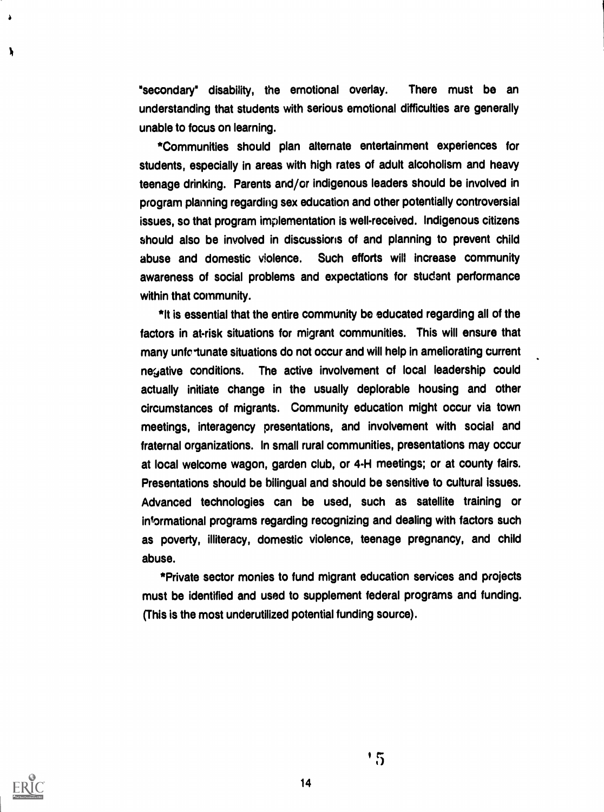"secondary" disability, the emotional overlay. There must be an understanding that students with serious emotional difficulties are generally unable to focus on learning.

\*Communities should plan alternate entertainment experiences for students, especially in areas with high rates of adult alcoholism and heavy teenage drinking. Parents and/or indigenous leaders should be involved in program planning regarding sex education and other potentially controversial issues, so that program implementation is well-received. Indigenous citizens should also be involved in discussions of and planning to prevent child abuse and domestic violence. Such efforts will increase community awareness of social problems and expectations for student performance within that community.

\*It is essential that the entire community be educated regarding all of the factors in at-risk situations for migrant communities. This will ensure that many unfc tunate situations do not occur and will help in ameliorating current ne<sub>3</sub> ative conditions. The active involvement of local leadership could actually initiate change in the usually deplorable housing and other circumstances of migrants. Community education might occur via town meetings, interagency presentations, and involvement with social and fraternal organizations. In small rural communities, presentations may occur at local welcome wagon, garden club, or 4-H meetings; or at county fairs. Presentations should be bilingual and should be sensitive to cultural issues. Advanced technologies can be used, such as satellite training or informational programs regarding recognizing and dealing with factors such as poverty, illiteracy, domestic violence, teenage pregnancy, and child abuse.

\*Private sector monies to fund migrant education services and projects must be identified and used to supplement federal programs and funding. (This is the most underutilized potential funding source).



λ